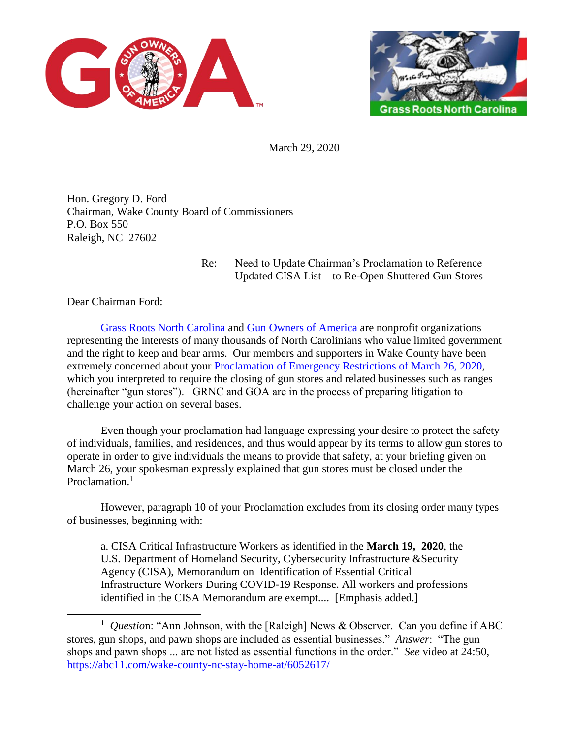



March 29, 2020

Hon. Gregory D. Ford Chairman, Wake County Board of Commissioners P.O. Box 550 Raleigh, NC 27602

## Re: Need to Update Chairman's Proclamation to Reference Updated CISA List – to Re-Open Shuttered Gun Stores

Dear Chairman Ford:

 $\overline{a}$ 

[Grass Roots North Carolina](https://www.grnc.org/) and [Gun Owners of America](https://gunowners.org/) are nonprofit organizations representing the interests of many thousands of North Carolinians who value limited government and the right to keep and bear arms. Our members and supporters in Wake County have been extremely concerned about your [Proclamation of Emergency Restrictions of March 26, 2020,](http://www.wakegov.com/covid19/Documents/FinalSignedSOE3-26-20.pdf) which you interpreted to require the closing of gun stores and related businesses such as ranges (hereinafter "gun stores"). GRNC and GOA are in the process of preparing litigation to challenge your action on several bases.

Even though your proclamation had language expressing your desire to protect the safety of individuals, families, and residences, and thus would appear by its terms to allow gun stores to operate in order to give individuals the means to provide that safety, at your briefing given on March 26, your spokesman expressly explained that gun stores must be closed under the Proclamation.<sup>1</sup>

However, paragraph 10 of your Proclamation excludes from its closing order many types of businesses, beginning with:

a. CISA Critical Infrastructure Workers as identified in the **March 19, 2020**, the U.S. Department of Homeland Security, Cybersecurity Infrastructure &Security Agency (CISA), Memorandum on Identification of Essential Critical Infrastructure Workers During COVID-19 Response. All workers and professions identified in the CISA Memorandum are exempt.... [Emphasis added.]

<sup>&</sup>lt;sup>1</sup> Question: "Ann Johnson, with the [Raleigh] News & Observer. Can you define if ABC stores, gun shops, and pawn shops are included as essential businesses." *Answer*: "The gun shops and pawn shops ... are not listed as essential functions in the order." *See* video at 24:50, <https://abc11.com/wake-county-nc-stay-home-at/6052617/>